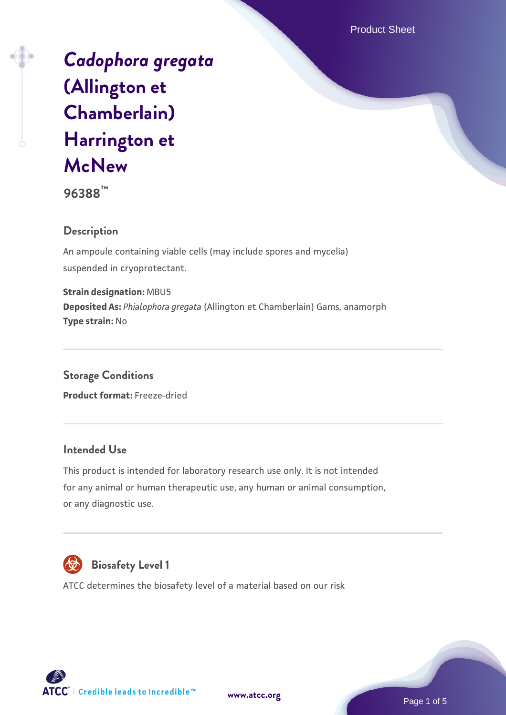Product Sheet

# *[Cadophora gregata](https://www.atcc.org/products/96388)* **[\(Allington et](https://www.atcc.org/products/96388) [Chamberlain\)](https://www.atcc.org/products/96388) [Harrington et](https://www.atcc.org/products/96388) [McNew](https://www.atcc.org/products/96388)**



# **Description**

An ampoule containing viable cells (may include spores and mycelia) suspended in cryoprotectant.

**Strain designation:** MBU5 **Deposited As:** *Phialophora gregata* (Allington et Chamberlain) Gams, anamorph **Type strain:** No

**Storage Conditions Product format:** Freeze-dried

#### **Intended Use**

This product is intended for laboratory research use only. It is not intended for any animal or human therapeutic use, any human or animal consumption, or any diagnostic use.



# **Biosafety Level 1**

ATCC determines the biosafety level of a material based on our risk

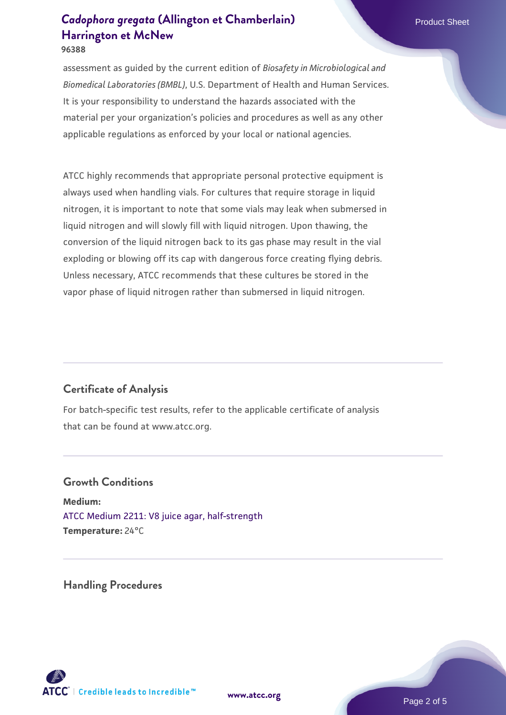assessment as guided by the current edition of *Biosafety in Microbiological and Biomedical Laboratories (BMBL)*, U.S. Department of Health and Human Services. It is your responsibility to understand the hazards associated with the material per your organization's policies and procedures as well as any other applicable regulations as enforced by your local or national agencies.

ATCC highly recommends that appropriate personal protective equipment is always used when handling vials. For cultures that require storage in liquid nitrogen, it is important to note that some vials may leak when submersed in liquid nitrogen and will slowly fill with liquid nitrogen. Upon thawing, the conversion of the liquid nitrogen back to its gas phase may result in the vial exploding or blowing off its cap with dangerous force creating flying debris. Unless necessary, ATCC recommends that these cultures be stored in the vapor phase of liquid nitrogen rather than submersed in liquid nitrogen.

#### **Certificate of Analysis**

For batch-specific test results, refer to the applicable certificate of analysis that can be found at www.atcc.org.

#### **Growth Conditions**

**Medium:**  [ATCC Medium 2211: V8 juice agar, half-strength](https://www.atcc.org/-/media/product-assets/documents/microbial-media-formulations/2/2/1/1/atcc-medium-2211.pdf?rev=556c7dd2b94b4c8994eb3adffa660619) **Temperature:** 24°C

**Handling Procedures**



**[www.atcc.org](http://www.atcc.org)**

Page 2 of 5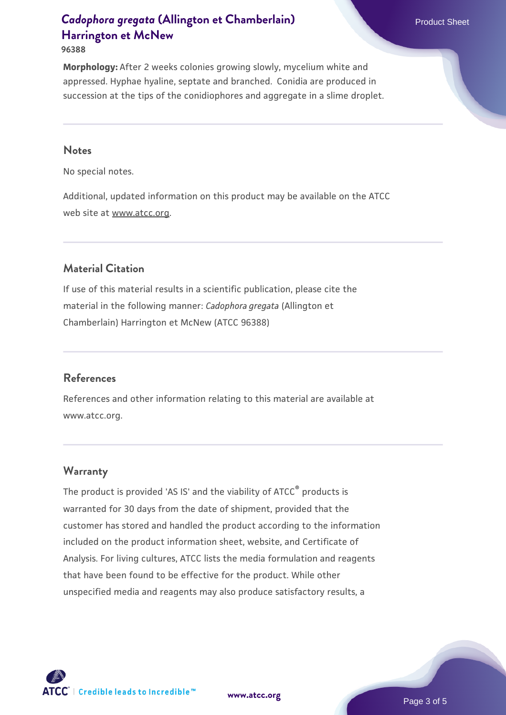**96388**

**Morphology:** After 2 weeks colonies growing slowly, mycelium white and appressed. Hyphae hyaline, septate and branched. Conidia are produced in succession at the tips of the conidiophores and aggregate in a slime droplet.

#### **Notes**

No special notes.

Additional, updated information on this product may be available on the ATCC web site at www.atcc.org.

## **Material Citation**

If use of this material results in a scientific publication, please cite the material in the following manner: *Cadophora gregata* (Allington et Chamberlain) Harrington et McNew (ATCC 96388)

#### **References**

References and other information relating to this material are available at www.atcc.org.

#### **Warranty**

The product is provided 'AS IS' and the viability of ATCC<sup>®</sup> products is warranted for 30 days from the date of shipment, provided that the customer has stored and handled the product according to the information included on the product information sheet, website, and Certificate of Analysis. For living cultures, ATCC lists the media formulation and reagents that have been found to be effective for the product. While other unspecified media and reagents may also produce satisfactory results, a



**[www.atcc.org](http://www.atcc.org)**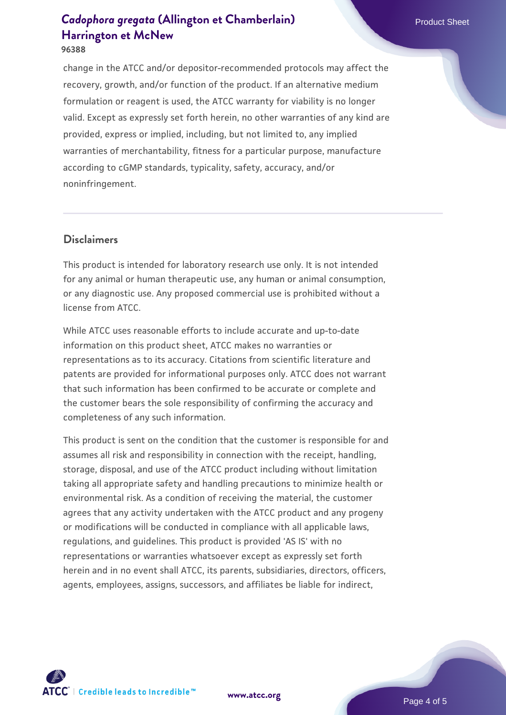**96388**

change in the ATCC and/or depositor-recommended protocols may affect the recovery, growth, and/or function of the product. If an alternative medium formulation or reagent is used, the ATCC warranty for viability is no longer valid. Except as expressly set forth herein, no other warranties of any kind are provided, express or implied, including, but not limited to, any implied warranties of merchantability, fitness for a particular purpose, manufacture according to cGMP standards, typicality, safety, accuracy, and/or noninfringement.

#### **Disclaimers**

This product is intended for laboratory research use only. It is not intended for any animal or human therapeutic use, any human or animal consumption, or any diagnostic use. Any proposed commercial use is prohibited without a license from ATCC.

While ATCC uses reasonable efforts to include accurate and up-to-date information on this product sheet, ATCC makes no warranties or representations as to its accuracy. Citations from scientific literature and patents are provided for informational purposes only. ATCC does not warrant that such information has been confirmed to be accurate or complete and the customer bears the sole responsibility of confirming the accuracy and completeness of any such information.

This product is sent on the condition that the customer is responsible for and assumes all risk and responsibility in connection with the receipt, handling, storage, disposal, and use of the ATCC product including without limitation taking all appropriate safety and handling precautions to minimize health or environmental risk. As a condition of receiving the material, the customer agrees that any activity undertaken with the ATCC product and any progeny or modifications will be conducted in compliance with all applicable laws, regulations, and guidelines. This product is provided 'AS IS' with no representations or warranties whatsoever except as expressly set forth herein and in no event shall ATCC, its parents, subsidiaries, directors, officers, agents, employees, assigns, successors, and affiliates be liable for indirect,



**[www.atcc.org](http://www.atcc.org)**

Page 4 of 5